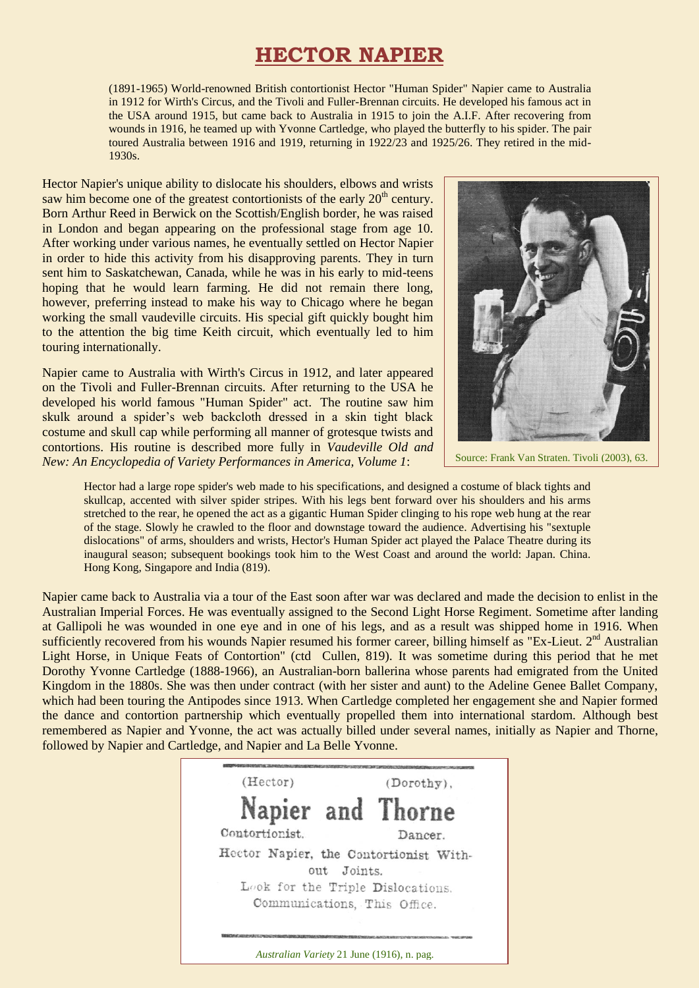# **HECTOR NAPIER**

(1891-1965) World-renowned British contortionist Hector "Human Spider" Napier came to Australia in 1912 for Wirth's Circus, and the Tivoli and Fuller-Brennan circuits. He developed his famous act in the USA around 1915, but came back to Australia in 1915 to join the A.I.F. After recovering from wounds in 1916, he teamed up with Yvonne Cartledge, who played the butterfly to his spider. The pair toured Australia between 1916 and 1919, returning in 1922/23 and 1925/26. They retired in the mid-1930s.

Hector Napier's unique ability to dislocate his shoulders, elbows and wrists saw him become one of the greatest contortionists of the early  $20<sup>th</sup>$  century. Born Arthur Reed in Berwick on the Scottish/English border, he was raised in London and began appearing on the professional stage from age 10. After working under various names, he eventually settled on Hector Napier in order to hide this activity from his disapproving parents. They in turn sent him to Saskatchewan, Canada, while he was in his early to mid-teens hoping that he would learn farming. He did not remain there long, however, preferring instead to make his way to Chicago where he began working the small vaudeville circuits. His special gift quickly bought him to the attention the big time Keith circuit, which eventually led to him touring internationally.

Napier came to Australia with Wirth's Circus in 1912, and later appeared on the Tivoli and Fuller-Brennan circuits. After returning to the USA he developed his world famous "Human Spider" act. The routine saw him skulk around a spider's web backcloth dressed in a skin tight black costume and skull cap while performing all manner of grotesque twists and contortions. His routine is described more fully in *Vaudeville Old and New: An Encyclopedia of Variety Performances in America, Volume 1*:



Source: Frank Van Straten. Tivoli (2003), 63.

Hector had a large rope spider's web made to his specifications, and designed a costume of black tights and skullcap, accented with silver spider stripes. With his legs bent forward over his shoulders and his arms stretched to the rear, he opened the act as a gigantic Human Spider clinging to his rope web hung at the rear of the stage. Slowly he crawled to the floor and downstage toward the audience. Advertising his "sextuple dislocations" of arms, shoulders and wrists, Hector's Human Spider act played the Palace Theatre during its inaugural season; subsequent bookings took him to the West Coast and around the world: Japan. China. Hong Kong, Singapore and India (819).

Napier came back to Australia via a tour of the East soon after war was declared and made the decision to enlist in the Australian Imperial Forces. He was eventually assigned to the Second Light Horse Regiment. Sometime after landing at Gallipoli he was wounded in one eye and in one of his legs, and as a result was shipped home in 1916. When sufficiently recovered from his wounds Napier resumed his former career, billing himself as "Ex-Lieut. 2<sup>nd</sup> Australian Light Horse, in Unique Feats of Contortion" (ctd Cullen, 819). It was sometime during this period that he met Dorothy Yvonne Cartledge (1888-1966), an Australian-born ballerina whose parents had emigrated from the United Kingdom in the 1880s. She was then under contract (with her sister and aunt) to the Adeline Genee Ballet Company, which had been touring the Antipodes since 1913. When Cartledge completed her engagement she and Napier formed the dance and contortion partnership which eventually propelled them into international stardom. Although best remembered as Napier and Yvonne, the act was actually billed under several names, initially as Napier and Thorne, followed by Napier and Cartledge, and Napier and La Belle Yvonne.

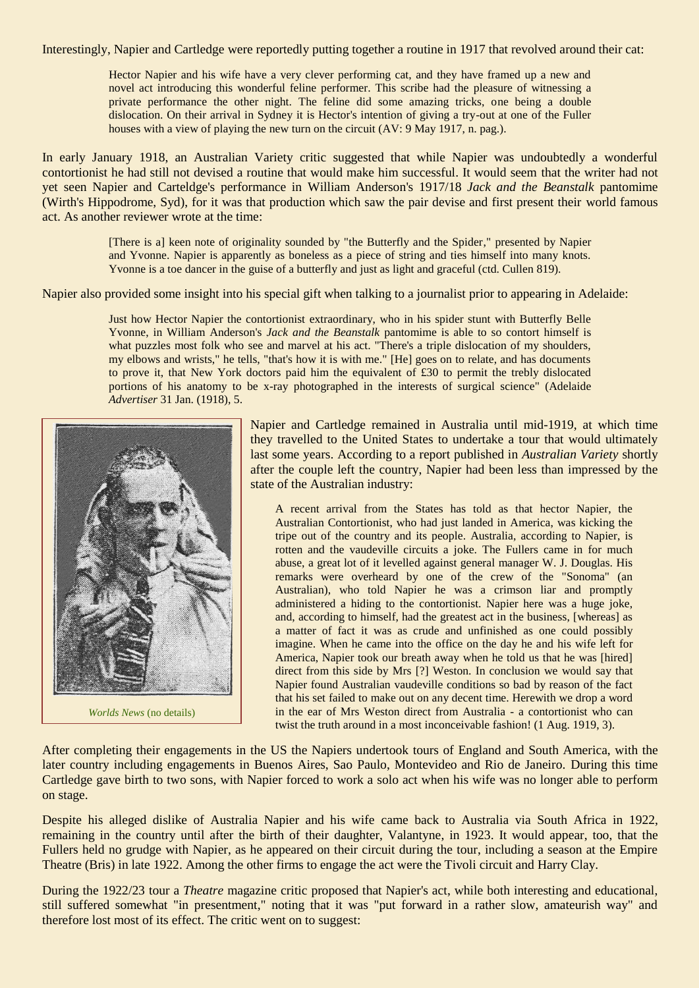Interestingly, Napier and Cartledge were reportedly putting together a routine in 1917 that revolved around their cat:

Hector Napier and his wife have a very clever performing cat, and they have framed up a new and novel act introducing this wonderful feline performer. This scribe had the pleasure of witnessing a private performance the other night. The feline did some amazing tricks, one being a double dislocation. On their arrival in Sydney it is Hector's intention of giving a try-out at one of the Fuller houses with a view of playing the new turn on the circuit (AV: 9 May 1917, n. pag.).

In early January 1918, an Australian Variety critic suggested that while Napier was undoubtedly a wonderful contortionist he had still not devised a routine that would make him successful. It would seem that the writer had not yet seen Napier and Carteldge's performance in William Anderson's 1917/18 *Jack and the Beanstalk* pantomime (Wirth's Hippodrome, Syd), for it was that production which saw the pair devise and first present their world famous act. As another reviewer wrote at the time:

> [There is a] keen note of originality sounded by "the Butterfly and the Spider," presented by Napier and Yvonne. Napier is apparently as boneless as a piece of string and ties himself into many knots. Yvonne is a toe dancer in the guise of a butterfly and just as light and graceful (ctd. Cullen 819).

Napier also provided some insight into his special gift when talking to a journalist prior to appearing in Adelaide:

Just how Hector Napier the contortionist extraordinary, who in his spider stunt with Butterfly Belle Yvonne, in William Anderson's *Jack and the Beanstalk* pantomime is able to so contort himself is what puzzles most folk who see and marvel at his act. "There's a triple dislocation of my shoulders, my elbows and wrists," he tells, "that's how it is with me." [He] goes on to relate, and has documents to prove it, that New York doctors paid him the equivalent of £30 to permit the trebly dislocated portions of his anatomy to be x-ray photographed in the interests of surgical science" (Adelaide *Advertiser* 31 Jan. (1918), 5.



Napier and Cartledge remained in Australia until mid-1919, at which time they travelled to the United States to undertake a tour that would ultimately last some years. According to a report published in *Australian Variety* shortly after the couple left the country, Napier had been less than impressed by the state of the Australian industry:

A recent arrival from the States has told as that hector Napier, the Australian Contortionist, who had just landed in America, was kicking the tripe out of the country and its people. Australia, according to Napier, is rotten and the vaudeville circuits a joke. The Fullers came in for much abuse, a great lot of it levelled against general manager W. J. Douglas. His remarks were overheard by one of the crew of the "Sonoma" (an Australian), who told Napier he was a crimson liar and promptly administered a hiding to the contortionist. Napier here was a huge joke, and, according to himself, had the greatest act in the business, [whereas] as a matter of fact it was as crude and unfinished as one could possibly imagine. When he came into the office on the day he and his wife left for America, Napier took our breath away when he told us that he was [hired] direct from this side by Mrs [?] Weston. In conclusion we would say that Napier found Australian vaudeville conditions so bad by reason of the fact that his set failed to make out on any decent time. Herewith we drop a word in the ear of Mrs Weston direct from Australia - a contortionist who can twist the truth around in a most inconceivable fashion! (1 Aug. 1919, 3).

After completing their engagements in the US the Napiers undertook tours of England and South America, with the later country including engagements in Buenos Aires, Sao Paulo, Montevideo and Rio de Janeiro. During this time Cartledge gave birth to two sons, with Napier forced to work a solo act when his wife was no longer able to perform on stage.

Despite his alleged dislike of Australia Napier and his wife came back to Australia via South Africa in 1922, remaining in the country until after the birth of their daughter, Valantyne, in 1923. It would appear, too, that the Fullers held no grudge with Napier, as he appeared on their circuit during the tour, including a season at the Empire Theatre (Bris) in late 1922. Among the other firms to engage the act were the Tivoli circuit and Harry Clay.

During the 1922/23 tour a *Theatre* magazine critic proposed that Napier's act, while both interesting and educational, still suffered somewhat "in presentment," noting that it was "put forward in a rather slow, amateurish way" and therefore lost most of its effect. The critic went on to suggest: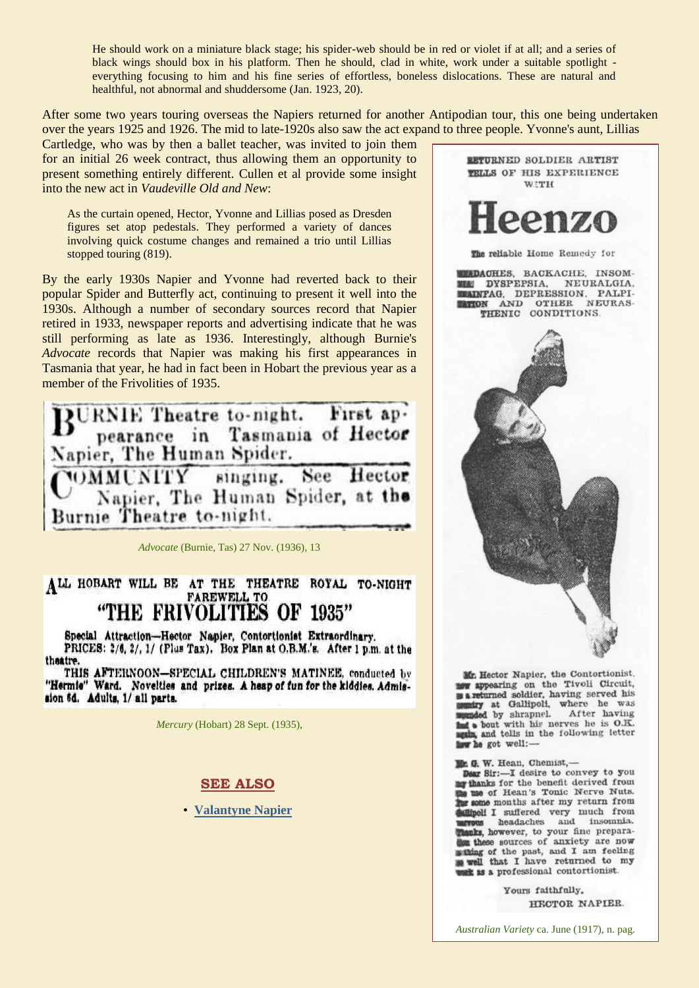He should work on a miniature black stage; his spider-web should be in red or violet if at all; and a series of black wings should box in his platform. Then he should, clad in white, work under a suitable spotlight everything focusing to him and his fine series of effortless, boneless dislocations. These are natural and healthful, not abnormal and shuddersome (Jan. 1923, 20).

After some two years touring overseas the Napiers returned for another Antipodian tour, this one being undertaken over the years 1925 and 1926. The mid to late-1920s also saw the act expand to three people. Yvonne's aunt, Lillias

Cartledge, who was by then a ballet teacher, was invited to join them for an initial 26 week contract, thus allowing them an opportunity to present something entirely different. Cullen et al provide some insight into the new act in *Vaudeville Old and New*:

As the curtain opened, Hector, Yvonne and Lillias posed as Dresden figures set atop pedestals. They performed a variety of dances involving quick costume changes and remained a trio until Lillias stopped touring (819).

By the early 1930s Napier and Yvonne had reverted back to their popular Spider and Butterfly act, continuing to present it well into the 1930s. Although a number of secondary sources record that Napier retired in 1933, newspaper reports and advertising indicate that he was still performing as late as 1936. Interestingly, although Burnie's *Advocate* records that Napier was making his first appearances in Tasmania that year, he had in fact been in Hobart the previous year as a member of the Frivolities of 1935.

BURNIE Theatre to-night. First ap.<br>pearance in Tasmania of Hector Napier, The Human Spider. WMMUNITY singing. See Hector Napier, The Human Spider, at the Burnie Theatre to-night.

*Advocate* (Burnie, Tas) 27 Nov. (1936), 13

# ALL HOBART WILL BE AT THE THEATRE ROYAL TO-NIGHT "THE FRIVOLITIES OF 1935"

Special Attraction-Hector Napier, Contortionist Extraordinary. PRICES: 2/6, 2/, 1/ (Plus Tax). Box Plan at O.B.M.'s. After 1 p.m. at the theatre.

THIS AFTERNOON-SPECIAL CHILDREN'S MATINEE, conducted by "Hermie" Ward. Novelties and prizes. A heap of fun for the kiddles. Admission 6d. Adults, 1/ all parts.

*Mercury* (Hobart) 28 Sept. (1935),

#### **SEE ALSO**

• **[Valantyne Napier](http://ozvta.com/practitioners-n/)**



Mr. Hector Napier, the Contortionist. mow appearing on the Tivoli Circuit, **B** a returned soldier, having served his miry at Gallipoli, where he was aded by shrapnel. After having to bout with his nerves he is O.K. and tells in the following letter ww he got well:-

Mr. G. W. Hean, Chemist,-

Dear Sir:-I desire to convey to you my thanks for the benefit derived from s use of Hean's Tonic Nerve Nuts. one months after my return from **Allipoli I** suffered very much from aks, however, to your fine preparathese sources of auxiety are now withing of the past, and I am feeling well that I have returned to my it as a professional contortionist.

> Yours faithfully, HECTOR NAPIER.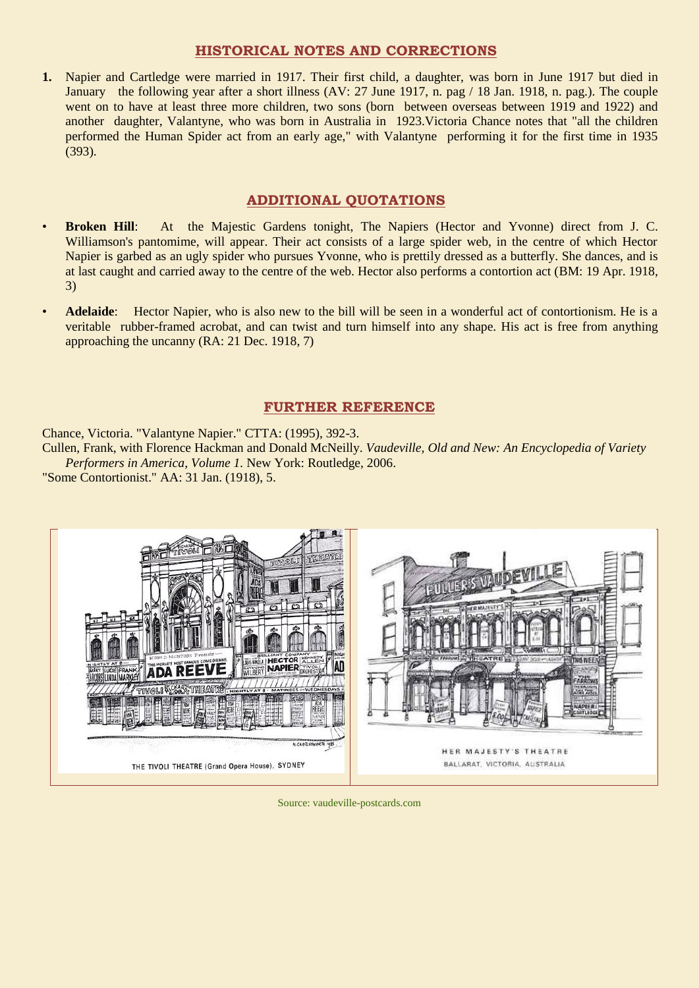### **HISTORICAL NOTES AND CORRECTIONS**

**1.** Napier and Cartledge were married in 1917. Their first child, a daughter, was born in June 1917 but died in January the following year after a short illness (AV: 27 June 1917, n. pag / 18 Jan. 1918, n. pag.). The couple went on to have at least three more children, two sons (born between overseas between 1919 and 1922) and another daughter, Valantyne, who was born in Australia in 1923.Victoria Chance notes that "all the children performed the Human Spider act from an early age," with Valantyne performing it for the first time in 1935 (393).

## **ADDITIONAL QUOTATIONS**

- **Broken Hill**: At the Majestic Gardens tonight, The Napiers (Hector and Yvonne) direct from J. C. Williamson's pantomime, will appear. Their act consists of a large spider web, in the centre of which Hector Napier is garbed as an ugly spider who pursues Yvonne, who is prettily dressed as a butterfly. She dances, and is at last caught and carried away to the centre of the web. Hector also performs a contortion act (BM: 19 Apr. 1918, 3)
- **Adelaide**: Hector Napier, who is also new to the bill will be seen in a wonderful act of contortionism. He is a veritable rubber-framed acrobat, and can twist and turn himself into any shape. His act is free from anything approaching the uncanny (RA: 21 Dec. 1918, 7)

#### **FURTHER REFERENCE**

Chance, Victoria. "Valantyne Napier." CTTA: (1995), 392-3.

Cullen, Frank, with Florence Hackman and Donald McNeilly. *Vaudeville, Old and New: An Encyclopedia of Variety Performers in America, Volume 1.* New York: Routledge, 2006.

"Some Contortionist." AA: 31 Jan. (1918), 5.



Source: vaudeville-postcards.com